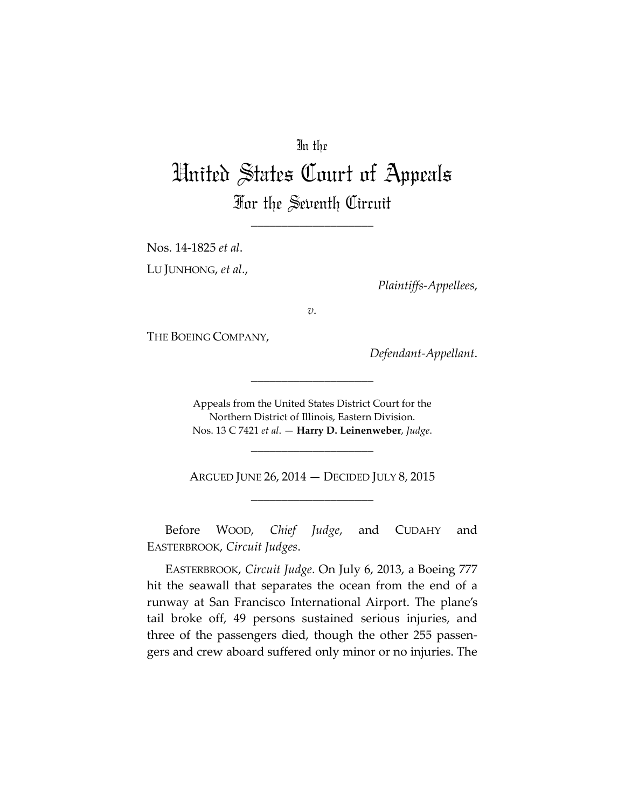# In the

# United States Court of Appeals For the Seventh Circuit

\_\_\_\_\_\_\_\_\_\_\_\_\_\_\_\_\_\_\_\_

Nos. 14-1825 *et al*. LU JUNHONG, *et al*.,

*Plaintiffs-Appellees*,

*v.*

THE BOEING COMPANY,

*Defendant-Appellant*.

Appeals from the United States District Court for the Northern District of Illinois, Eastern Division. Nos. 13 C 7421 *et al*. — **Harry D. Leinenweber**, *Judge*.

\_\_\_\_\_\_\_\_\_\_\_\_\_\_\_\_\_\_\_\_

ARGUED JUNE 26, 2014 — DECIDED JULY 8, 2015 \_\_\_\_\_\_\_\_\_\_\_\_\_\_\_\_\_\_\_\_

\_\_\_\_\_\_\_\_\_\_\_\_\_\_\_\_\_\_\_\_

Before WOOD, *Chief Judge*, and CUDAHY and EASTERBROOK, *Circuit Judges*.

EASTERBROOK, *Circuit Judge*. On July 6, 2013, a Boeing 777 hit the seawall that separates the ocean from the end of a runway at San Francisco International Airport. The plane's tail broke off, 49 persons sustained serious injuries, and three of the passengers died, though the other 255 passengers and crew aboard suffered only minor or no injuries. The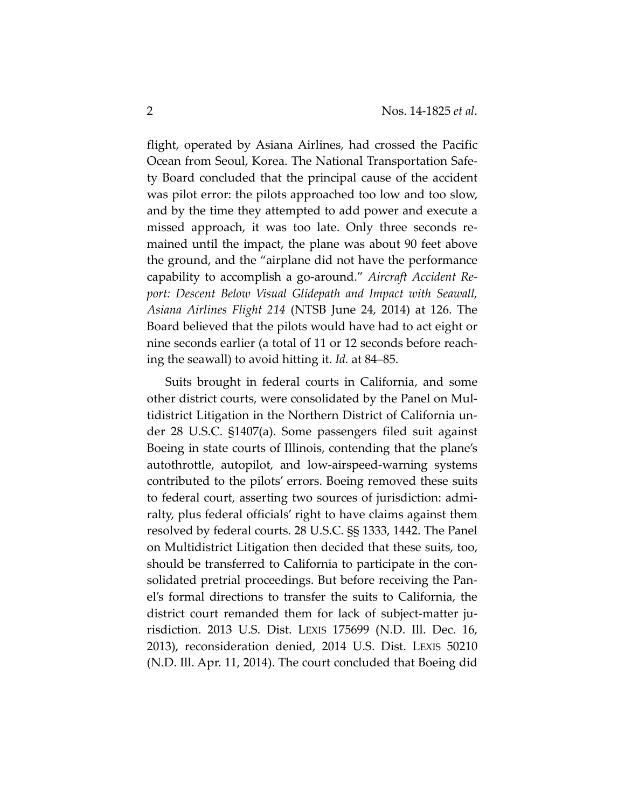flight, operated by Asiana Airlines, had crossed the Pacific Ocean from Seoul, Korea. The National Transportation Safety Board concluded that the principal cause of the accident was pilot error: the pilots approached too low and too slow, and by the time they attempted to add power and execute a missed approach, it was too late. Only three seconds remained until the impact, the plane was about 90 feet above the ground, and the "airplane did not have the performance capability to accomplish a go-around." *Aircraft Accident Report: Descent Below Visual Glidepath and Impact with Seawall, Asiana Airlines Flight 214* (NTSB June 24, 2014) at 126. The Board believed that the pilots would have had to act eight or nine seconds earlier (a total of 11 or 12 seconds before reaching the seawall) to avoid hitting it. *Id.* at 84–85.

Suits brought in federal courts in California, and some other district courts, were consolidated by the Panel on Multidistrict Litigation in the Northern District of California under 28 U.S.C. §1407(a). Some passengers filed suit against Boeing in state courts of Illinois, contending that the plane's autothrottle, autopilot, and low-airspeed-warning systems contributed to the pilots' errors. Boeing removed these suits to federal court, asserting two sources of jurisdiction: admiralty, plus federal officials' right to have claims against them resolved by federal courts. 28 U.S.C. §§ 1333, 1442. The Panel on Multidistrict Litigation then decided that these suits, too, should be transferred to California to participate in the consolidated pretrial proceedings. But before receiving the Panel's formal directions to transfer the suits to California, the district court remanded them for lack of subject-matter jurisdiction. 2013 U.S. Dist. LEXIS 175699 (N.D. Ill. Dec. 16, 2013), reconsideration denied, 2014 U.S. Dist. LEXIS 50210 (N.D. Ill. Apr. 11, 2014). The court concluded that Boeing did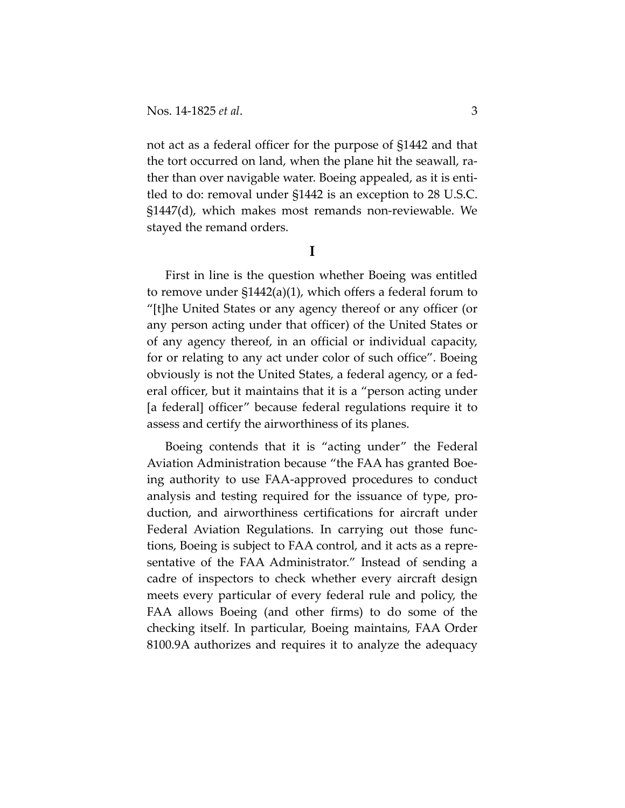not act as a federal officer for the purpose of §1442 and that the tort occurred on land, when the plane hit the seawall, rather than over navigable water. Boeing appealed, as it is entitled to do: removal under §1442 is an exception to 28 U.S.C. §1447(d), which makes most remands non-reviewable. We stayed the remand orders.

### **I**

First in line is the question whether Boeing was entitled to remove under §1442(a)(1), which offers a federal forum to "[t]he United States or any agency thereof or any officer (or any person acting under that officer) of the United States or of any agency thereof, in an official or individual capacity, for or relating to any act under color of such office". Boeing obviously is not the United States, a federal agency, or a federal officer, but it maintains that it is a "person acting under [a federal] officer" because federal regulations require it to assess and certify the airworthiness of its planes.

Boeing contends that it is "acting under" the Federal Aviation Administration because "the FAA has granted Boeing authority to use FAA-approved procedures to conduct analysis and testing required for the issuance of type, production, and airworthiness certifications for aircraft under Federal Aviation Regulations. In carrying out those functions, Boeing is subject to FAA control, and it acts as a representative of the FAA Administrator." Instead of sending a cadre of inspectors to check whether every aircraft design meets every particular of every federal rule and policy, the FAA allows Boeing (and other firms) to do some of the checking itself. In particular, Boeing maintains, FAA Order 8100.9A authorizes and requires it to analyze the adequacy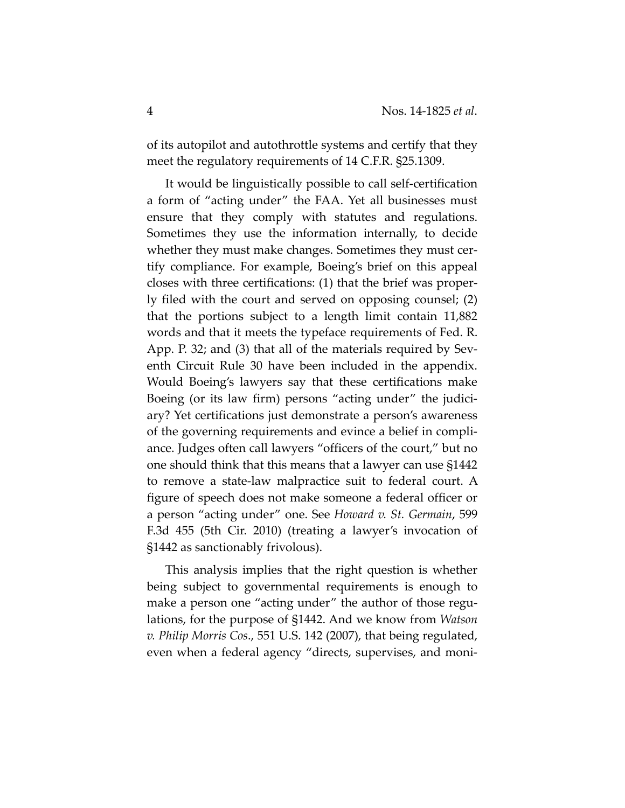of its autopilot and autothrottle systems and certify that they meet the regulatory requirements of 14 C.F.R. §25.1309.

It would be linguistically possible to call self-certification a form of "acting under" the FAA. Yet all businesses must ensure that they comply with statutes and regulations. Sometimes they use the information internally, to decide whether they must make changes. Sometimes they must certify compliance. For example, Boeing's brief on this appeal closes with three certifications: (1) that the brief was properly filed with the court and served on opposing counsel; (2) that the portions subject to a length limit contain 11,882 words and that it meets the typeface requirements of Fed. R. App. P. 32; and (3) that all of the materials required by Seventh Circuit Rule 30 have been included in the appendix. Would Boeing's lawyers say that these certifications make Boeing (or its law firm) persons "acting under" the judiciary? Yet certifications just demonstrate a person's awareness of the governing requirements and evince a belief in compliance. Judges often call lawyers "officers of the court," but no one should think that this means that a lawyer can use §1442 to remove a state-law malpractice suit to federal court. A figure of speech does not make someone a federal officer or a person "acting under" one. See *Howard v. St. Germain*, 599 F.3d 455 (5th Cir. 2010) (treating a lawyer's invocation of §1442 as sanctionably frivolous).

This analysis implies that the right question is whether being subject to governmental requirements is enough to make a person one "acting under" the author of those regulations, for the purpose of §1442. And we know from *Watson v. Philip Morris Cos*., 551 U.S. 142 (2007), that being regulated, even when a federal agency "directs, supervises, and moni-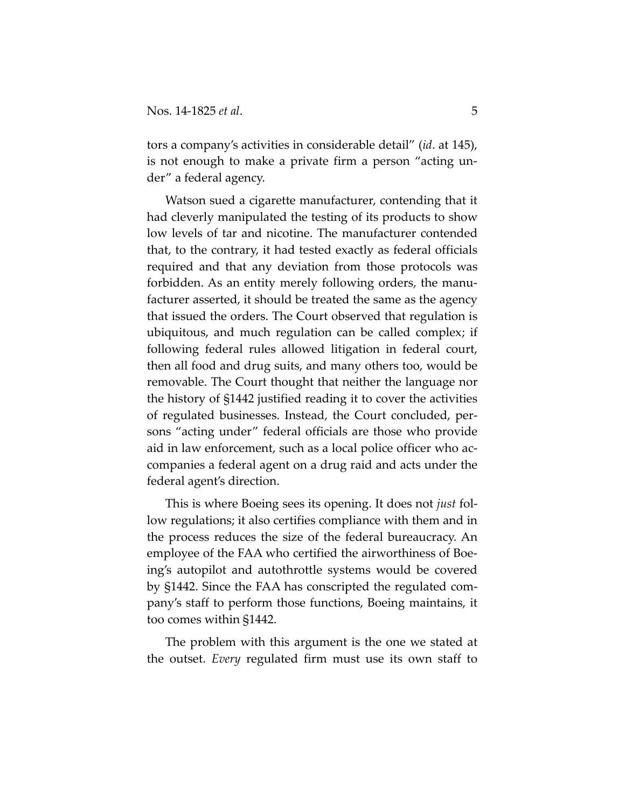tors a company's activities in considerable detail" (*id*. at 145), is not enough to make a private firm a person "acting under" a federal agency.

Watson sued a cigarette manufacturer, contending that it had cleverly manipulated the testing of its products to show low levels of tar and nicotine. The manufacturer contended that, to the contrary, it had tested exactly as federal officials required and that any deviation from those protocols was forbidden. As an entity merely following orders, the manufacturer asserted, it should be treated the same as the agency that issued the orders. The Court observed that regulation is ubiquitous, and much regulation can be called complex; if following federal rules allowed litigation in federal court, then all food and drug suits, and many others too, would be removable. The Court thought that neither the language nor the history of §1442 justified reading it to cover the activities of regulated businesses. Instead, the Court concluded, persons "acting under" federal officials are those who provide aid in law enforcement, such as a local police officer who accompanies a federal agent on a drug raid and acts under the federal agent's direction.

This is where Boeing sees its opening. It does not *just* follow regulations; it also certifies compliance with them and in the process reduces the size of the federal bureaucracy. An employee of the FAA who certified the airworthiness of Boeing's autopilot and autothrottle systems would be covered by §1442. Since the FAA has conscripted the regulated company's staff to perform those functions, Boeing maintains, it too comes within §1442.

The problem with this argument is the one we stated at the outset. *Every* regulated firm must use its own staff to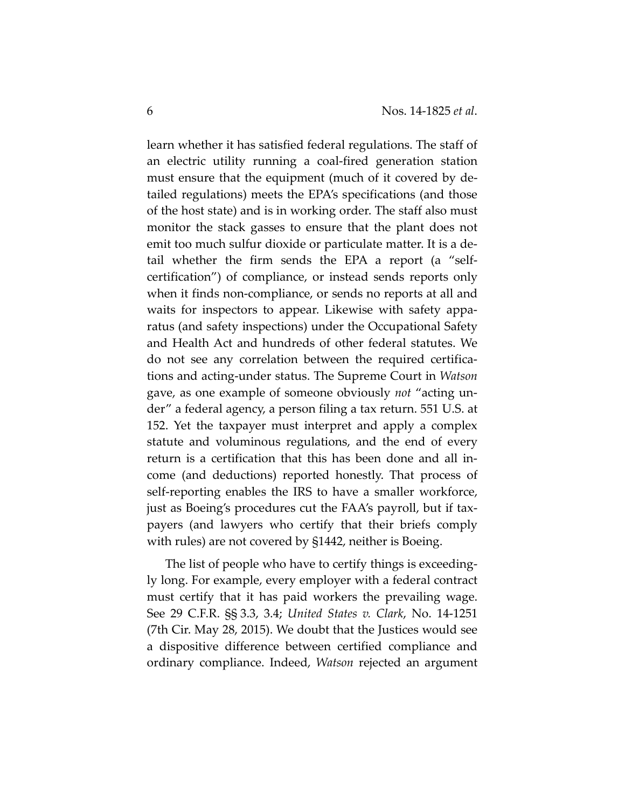learn whether it has satisfied federal regulations. The staff of an electric utility running a coal-fired generation station must ensure that the equipment (much of it covered by detailed regulations) meets the EPA's specifications (and those of the host state) and is in working order. The staff also must monitor the stack gasses to ensure that the plant does not emit too much sulfur dioxide or particulate matter. It is a detail whether the firm sends the EPA a report (a "selfcertification") of compliance, or instead sends reports only when it finds non-compliance, or sends no reports at all and waits for inspectors to appear. Likewise with safety apparatus (and safety inspections) under the Occupational Safety and Health Act and hundreds of other federal statutes. We do not see any correlation between the required certifications and acting-under status. The Supreme Court in *Watson* gave, as one example of someone obviously *not* "acting under" a federal agency, a person filing a tax return. 551 U.S. at 152. Yet the taxpayer must interpret and apply a complex statute and voluminous regulations, and the end of every return is a certification that this has been done and all income (and deductions) reported honestly. That process of self-reporting enables the IRS to have a smaller workforce, just as Boeing's procedures cut the FAA's payroll, but if taxpayers (and lawyers who certify that their briefs comply with rules) are not covered by \$1442, neither is Boeing.

The list of people who have to certify things is exceedingly long. For example, every employer with a federal contract must certify that it has paid workers the prevailing wage. See 29 C.F.R. §§ 3.3, 3.4; *United States v. Clark*, No. 14-1251 (7th Cir. May 28, 2015). We doubt that the Justices would see a dispositive difference between certified compliance and ordinary compliance. Indeed, *Watson* rejected an argument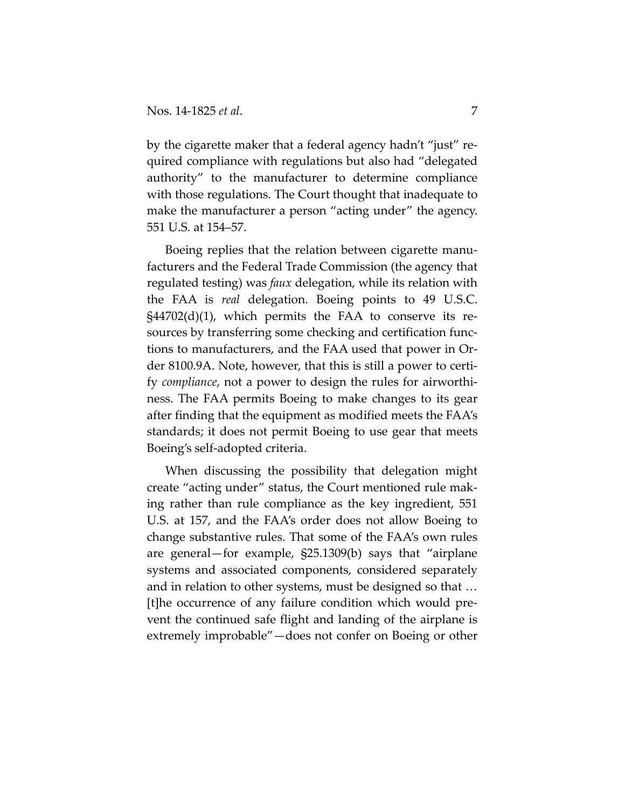by the cigarette maker that a federal agency hadn't "just" required compliance with regulations but also had "delegated authority" to the manufacturer to determine compliance with those regulations. The Court thought that inadequate to make the manufacturer a person "acting under" the agency. 551 U.S. at 154–57.

Boeing replies that the relation between cigarette manufacturers and the Federal Trade Commission (the agency that regulated testing) was *faux* delegation, while its relation with the FAA is *real* delegation. Boeing points to 49 U.S.C.  $\frac{1}{2}$  \$44702(d)(1), which permits the FAA to conserve its resources by transferring some checking and certification functions to manufacturers, and the FAA used that power in Order 8100.9A. Note, however, that this is still a power to certify *compliance*, not a power to design the rules for airworthiness. The FAA permits Boeing to make changes to its gear after finding that the equipment as modified meets the FAA's standards; it does not permit Boeing to use gear that meets Boeing's self-adopted criteria.

When discussing the possibility that delegation might create "acting under" status, the Court mentioned rule making rather than rule compliance as the key ingredient, 551 U.S. at 157, and the FAA's order does not allow Boeing to change substantive rules. That some of the FAA's own rules are general—for example, §25.1309(b) says that "airplane systems and associated components, considered separately and in relation to other systems, must be designed so that … [t]he occurrence of any failure condition which would prevent the continued safe flight and landing of the airplane is extremely improbable"—does not confer on Boeing or other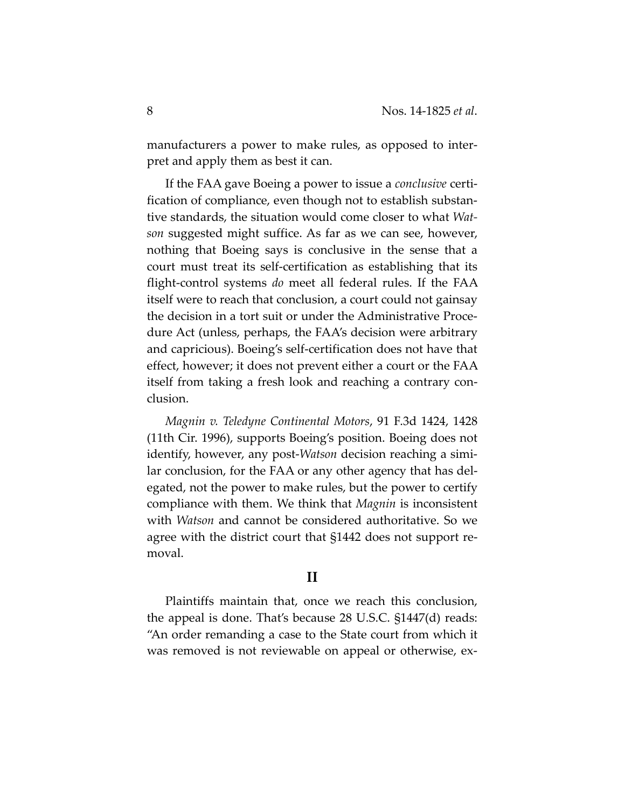manufacturers a power to make rules, as opposed to interpret and apply them as best it can.

If the FAA gave Boeing a power to issue a *conclusive* certification of compliance, even though not to establish substantive standards, the situation would come closer to what *Watson* suggested might suffice. As far as we can see, however, nothing that Boeing says is conclusive in the sense that a court must treat its self-certification as establishing that its flight-control systems *do* meet all federal rules. If the FAA itself were to reach that conclusion, a court could not gainsay the decision in a tort suit or under the Administrative Procedure Act (unless, perhaps, the FAA's decision were arbitrary and capricious). Boeing's self-certification does not have that effect, however; it does not prevent either a court or the FAA itself from taking a fresh look and reaching a contrary conclusion.

*Magnin v. Teledyne Continental Motors*, 91 F.3d 1424, 1428 (11th Cir. 1996), supports Boeing's position. Boeing does not identify, however, any post-*Watson* decision reaching a similar conclusion, for the FAA or any other agency that has delegated, not the power to make rules, but the power to certify compliance with them. We think that *Magnin* is inconsistent with *Watson* and cannot be considered authoritative. So we agree with the district court that §1442 does not support removal.

## **II**

Plaintiffs maintain that, once we reach this conclusion, the appeal is done. That's because 28 U.S.C. §1447(d) reads: "An order remanding a case to the State court from which it was removed is not reviewable on appeal or otherwise, ex-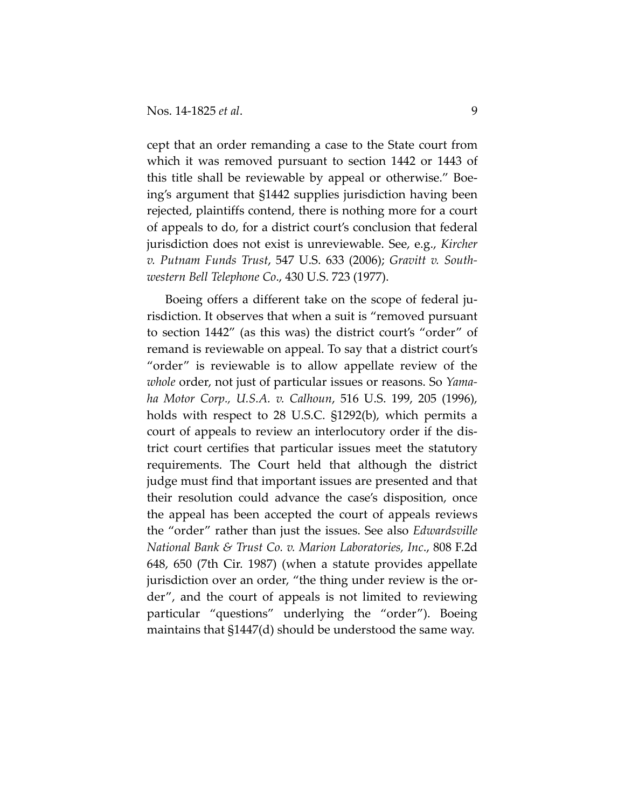cept that an order remanding a case to the State court from which it was removed pursuant to section 1442 or 1443 of this title shall be reviewable by appeal or otherwise." Boeing's argument that §1442 supplies jurisdiction having been rejected, plaintiffs contend, there is nothing more for a court of appeals to do, for a district court's conclusion that federal jurisdiction does not exist is unreviewable. See, e.g., *Kircher v. Putnam Funds Trust*, 547 U.S. 633 (2006); *Gravitt v. Southwestern Bell Telephone Co*., 430 U.S. 723 (1977).

Boeing offers a different take on the scope of federal jurisdiction. It observes that when a suit is "removed pursuant to section 1442" (as this was) the district court's "order" of remand is reviewable on appeal. To say that a district court's "order" is reviewable is to allow appellate review of the *whole* order, not just of particular issues or reasons. So *Yamaha Motor Corp., U.S.A. v. Calhoun*, 516 U.S. 199, 205 (1996), holds with respect to 28 U.S.C. §1292(b), which permits a court of appeals to review an interlocutory order if the district court certifies that particular issues meet the statutory requirements. The Court held that although the district judge must find that important issues are presented and that their resolution could advance the case's disposition, once the appeal has been accepted the court of appeals reviews the "order" rather than just the issues. See also *Edwardsville National Bank & Trust Co. v. Marion Laboratories, Inc*., 808 F.2d 648, 650 (7th Cir. 1987) (when a statute provides appellate jurisdiction over an order, "the thing under review is the order", and the court of appeals is not limited to reviewing particular "questions" underlying the "order"). Boeing maintains that §1447(d) should be understood the same way.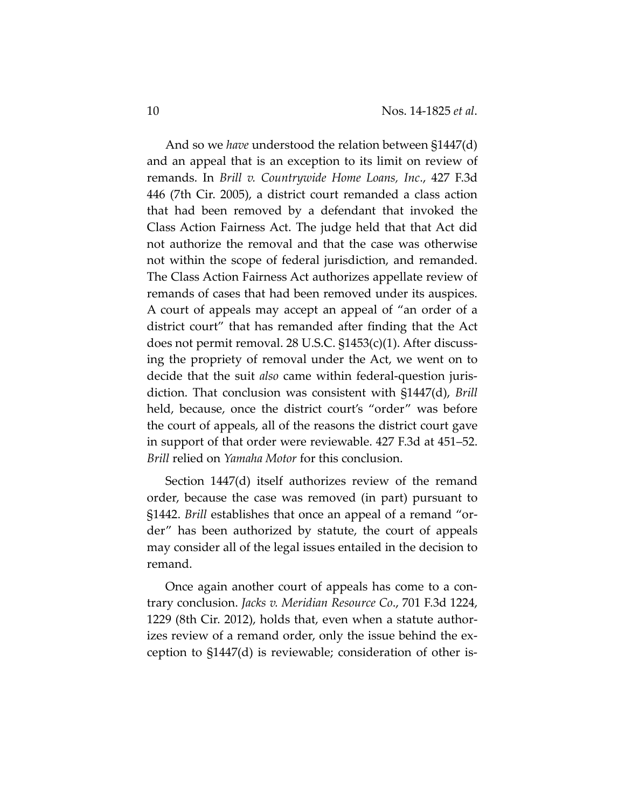And so we *have* understood the relation between §1447(d) and an appeal that is an exception to its limit on review of remands. In *Brill v. Countrywide Home Loans, Inc*., 427 F.3d 446 (7th Cir. 2005), a district court remanded a class action that had been removed by a defendant that invoked the Class Action Fairness Act. The judge held that that Act did not authorize the removal and that the case was otherwise not within the scope of federal jurisdiction, and remanded. The Class Action Fairness Act authorizes appellate review of remands of cases that had been removed under its auspices. A court of appeals may accept an appeal of "an order of a district court" that has remanded after finding that the Act does not permit removal. 28 U.S.C. §1453(c)(1). After discussing the propriety of removal under the Act, we went on to decide that the suit *also* came within federal-question jurisdiction. That conclusion was consistent with §1447(d), *Brill* held, because, once the district court's "order" was before the court of appeals, all of the reasons the district court gave in support of that order were reviewable. 427 F.3d at 451–52. *Brill* relied on *Yamaha Motor* for this conclusion.

Section 1447(d) itself authorizes review of the remand order, because the case was removed (in part) pursuant to §1442. *Brill* establishes that once an appeal of a remand "order" has been authorized by statute, the court of appeals may consider all of the legal issues entailed in the decision to remand.

Once again another court of appeals has come to a contrary conclusion. *Jacks v. Meridian Resource Co*., 701 F.3d 1224, 1229 (8th Cir. 2012), holds that, even when a statute authorizes review of a remand order, only the issue behind the exception to §1447(d) is reviewable; consideration of other is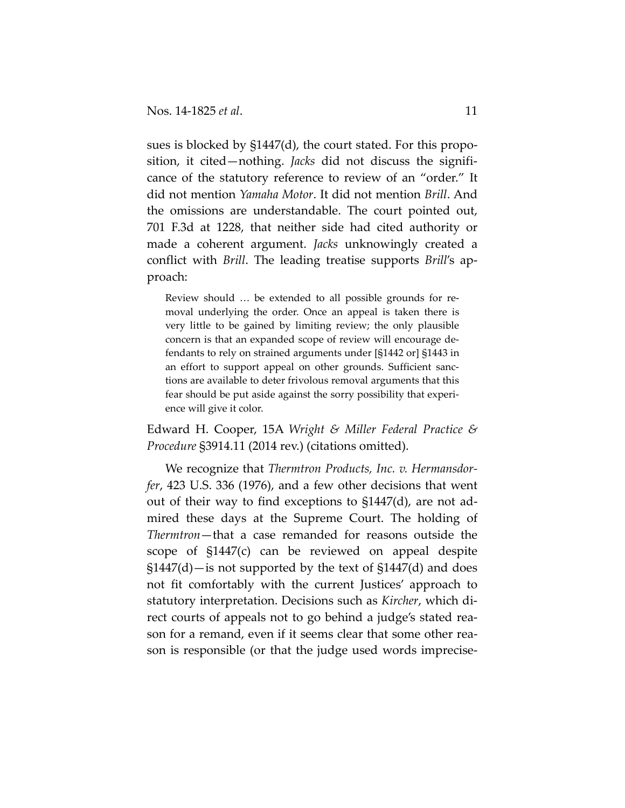sues is blocked by §1447(d), the court stated. For this proposition, it cited—nothing. *Jacks* did not discuss the significance of the statutory reference to review of an "order." It did not mention *Yamaha Motor*. It did not mention *Brill*. And the omissions are understandable. The court pointed out, 701 F.3d at 1228, that neither side had cited authority or made a coherent argument. *Jacks* unknowingly created a conflict with *Brill*. The leading treatise supports *Brill*'s approach:

Review should … be extended to all possible grounds for removal underlying the order. Once an appeal is taken there is very little to be gained by limiting review; the only plausible concern is that an expanded scope of review will encourage defendants to rely on strained arguments under [§1442 or] §1443 in an effort to support appeal on other grounds. Sufficient sanctions are available to deter frivolous removal arguments that this fear should be put aside against the sorry possibility that experience will give it color.

Edward H. Cooper, 15A *Wright & Miller Federal Practice & Procedure* §3914.11 (2014 rev.) (citations omitted).

We recognize that *Thermtron Products, Inc. v. Hermansdorfer*, 423 U.S. 336 (1976), and a few other decisions that went out of their way to find exceptions to §1447(d), are not admired these days at the Supreme Court. The holding of *Thermtron*—that a case remanded for reasons outside the scope of §1447(c) can be reviewed on appeal despite  $$1447(d)$ —is not supported by the text of  $$1447(d)$  and does not fit comfortably with the current Justices' approach to statutory interpretation. Decisions such as *Kircher*, which direct courts of appeals not to go behind a judge's stated reason for a remand, even if it seems clear that some other reason is responsible (or that the judge used words imprecise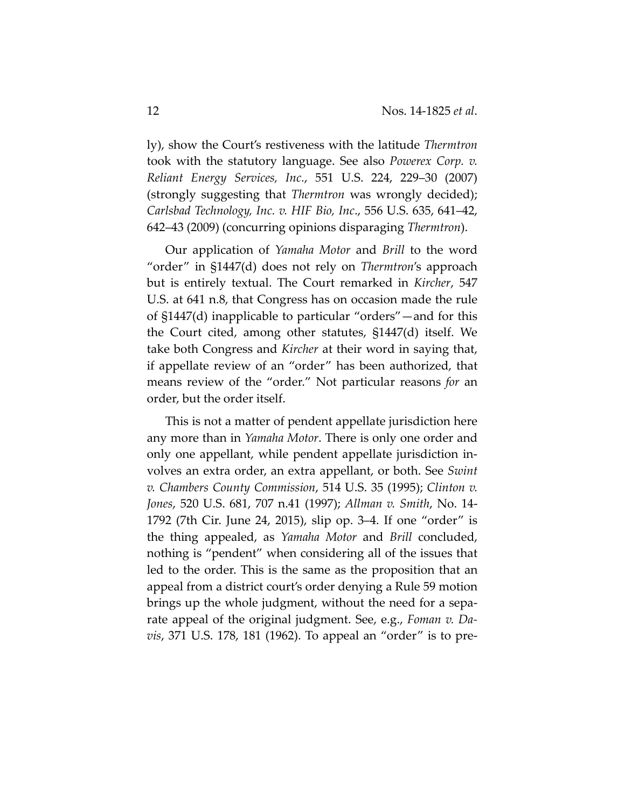ly), show the Court's restiveness with the latitude *Thermtron* took with the statutory language. See also *Powerex Corp. v. Reliant Energy Services, Inc.*, 551 U.S. 224, 229–30 (2007) (strongly suggesting that *Thermtron* was wrongly decided); *Carlsbad Technology, Inc. v. HIF Bio, Inc*., 556 U.S. 635, 641–42, 642–43 (2009) (concurring opinions disparaging *Thermtron*).

Our application of *Yamaha Motor* and *Brill* to the word "order" in §1447(d) does not rely on *Thermtron*'s approach but is entirely textual. The Court remarked in *Kircher*, 547 U.S. at 641 n.8, that Congress has on occasion made the rule of §1447(d) inapplicable to particular "orders"—and for this the Court cited, among other statutes, §1447(d) itself. We take both Congress and *Kircher* at their word in saying that, if appellate review of an "order" has been authorized, that means review of the "order." Not particular reasons *for* an order, but the order itself.

This is not a matter of pendent appellate jurisdiction here any more than in *Yamaha Motor*. There is only one order and only one appellant, while pendent appellate jurisdiction involves an extra order, an extra appellant, or both. See *Swint v. Chambers County Commission*, 514 U.S. 35 (1995); *Clinton v. Jones*, 520 U.S. 681, 707 n.41 (1997); *Allman v. Smith*, No. 14- 1792 (7th Cir. June 24, 2015), slip op. 3–4. If one "order" is the thing appealed, as *Yamaha Motor* and *Brill* concluded, nothing is "pendent" when considering all of the issues that led to the order. This is the same as the proposition that an appeal from a district court's order denying a Rule 59 motion brings up the whole judgment, without the need for a separate appeal of the original judgment. See, e.g., *Foman v. Davis*, 371 U.S. 178, 181 (1962). To appeal an "order" is to pre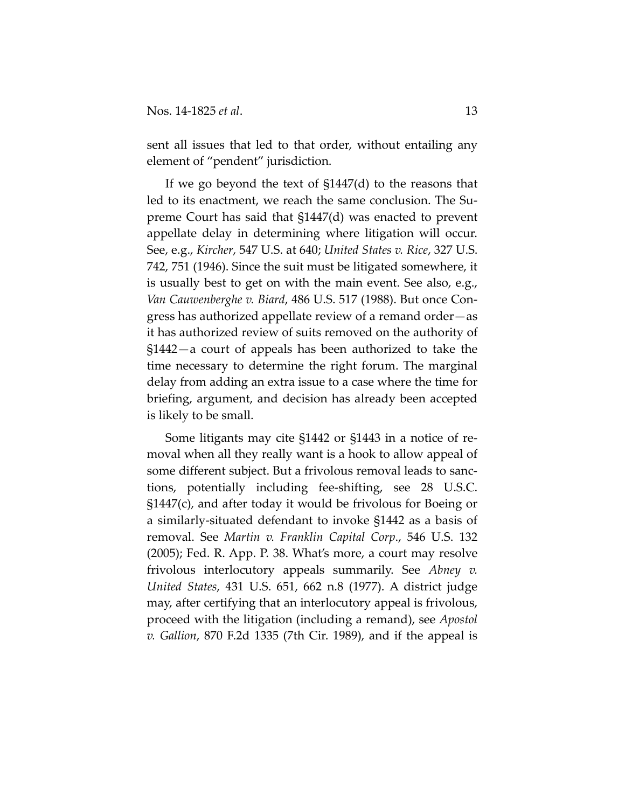sent all issues that led to that order, without entailing any element of "pendent" jurisdiction.

If we go beyond the text of §1447(d) to the reasons that led to its enactment, we reach the same conclusion. The Supreme Court has said that §1447(d) was enacted to prevent appellate delay in determining where litigation will occur. See, e.g., *Kircher*, 547 U.S. at 640; *United States v. Rice*, 327 U.S. 742, 751 (1946). Since the suit must be litigated somewhere, it is usually best to get on with the main event. See also, e.g., *Van Cauwenberghe v. Biard*, 486 U.S. 517 (1988). But once Congress has authorized appellate review of a remand order—as it has authorized review of suits removed on the authority of §1442—a court of appeals has been authorized to take the time necessary to determine the right forum. The marginal delay from adding an extra issue to a case where the time for briefing, argument, and decision has already been accepted is likely to be small.

Some litigants may cite §1442 or §1443 in a notice of removal when all they really want is a hook to allow appeal of some different subject. But a frivolous removal leads to sanctions, potentially including fee-shifting, see 28 U.S.C. §1447(c), and after today it would be frivolous for Boeing or a similarly-situated defendant to invoke §1442 as a basis of removal. See *Martin v. Franklin Capital Corp*., 546 U.S. 132 (2005); Fed. R. App. P. 38. What's more, a court may resolve frivolous interlocutory appeals summarily. See *Abney v. United States*, 431 U.S. 651, 662 n.8 (1977). A district judge may, after certifying that an interlocutory appeal is frivolous, proceed with the litigation (including a remand), see *Apostol v. Gallion*, 870 F.2d 1335 (7th Cir. 1989), and if the appeal is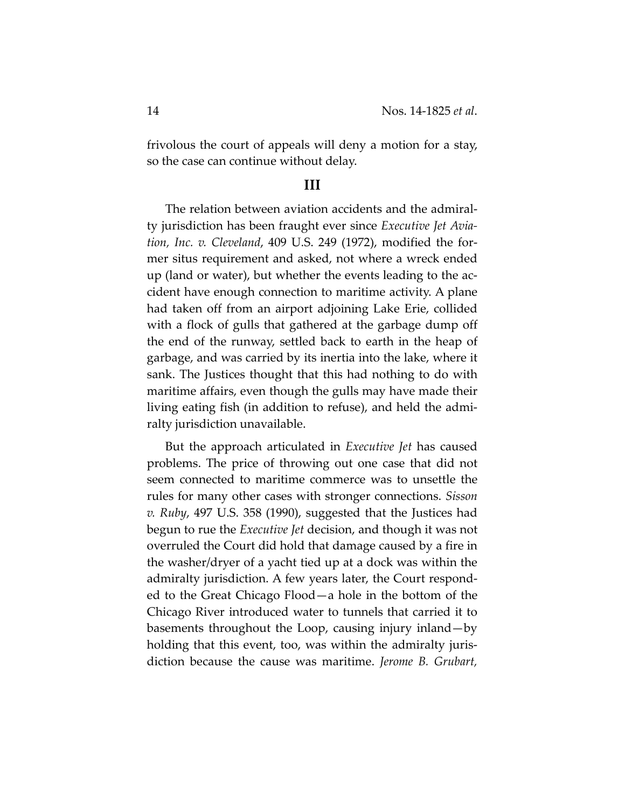frivolous the court of appeals will deny a motion for a stay, so the case can continue without delay.

#### **III**

The relation between aviation accidents and the admiralty jurisdiction has been fraught ever since *Executive Jet Aviation, Inc. v. Cleveland*, 409 U.S. 249 (1972), modified the former situs requirement and asked, not where a wreck ended up (land or water), but whether the events leading to the accident have enough connection to maritime activity. A plane had taken off from an airport adjoining Lake Erie, collided with a flock of gulls that gathered at the garbage dump off the end of the runway, settled back to earth in the heap of garbage, and was carried by its inertia into the lake, where it sank. The Justices thought that this had nothing to do with maritime affairs, even though the gulls may have made their living eating fish (in addition to refuse), and held the admiralty jurisdiction unavailable.

But the approach articulated in *Executive Jet* has caused problems. The price of throwing out one case that did not seem connected to maritime commerce was to unsettle the rules for many other cases with stronger connections. *Sisson v. Ruby*, 497 U.S. 358 (1990), suggested that the Justices had begun to rue the *Executive Jet* decision, and though it was not overruled the Court did hold that damage caused by a fire in the washer/dryer of a yacht tied up at a dock was within the admiralty jurisdiction. A few years later, the Court responded to the Great Chicago Flood—a hole in the bottom of the Chicago River introduced water to tunnels that carried it to basements throughout the Loop, causing injury inland—by holding that this event, too, was within the admiralty jurisdiction because the cause was maritime. *Jerome B. Grubart,*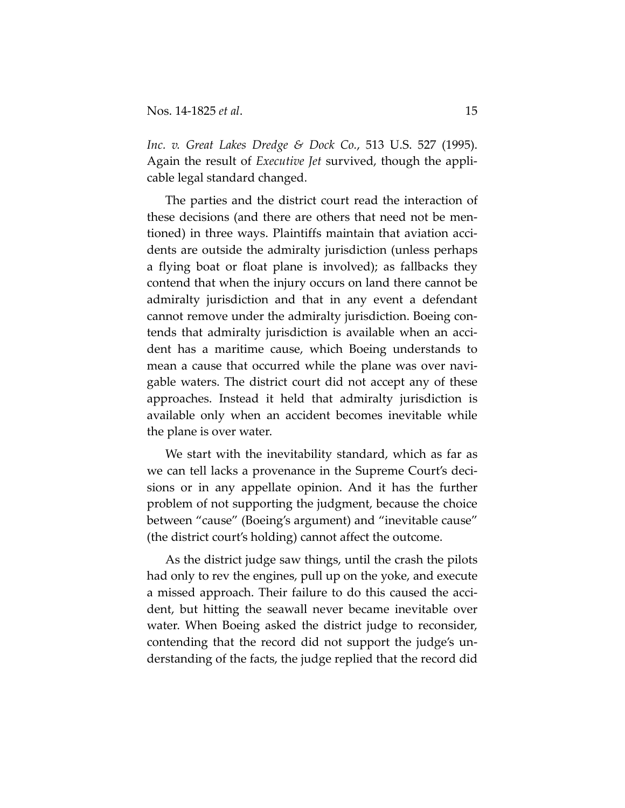*Inc. v. Great Lakes Dredge & Dock Co.*, 513 U.S. 527 (1995). Again the result of *Executive Jet* survived, though the applicable legal standard changed.

The parties and the district court read the interaction of these decisions (and there are others that need not be mentioned) in three ways. Plaintiffs maintain that aviation accidents are outside the admiralty jurisdiction (unless perhaps a flying boat or float plane is involved); as fallbacks they contend that when the injury occurs on land there cannot be admiralty jurisdiction and that in any event a defendant cannot remove under the admiralty jurisdiction. Boeing contends that admiralty jurisdiction is available when an accident has a maritime cause, which Boeing understands to mean a cause that occurred while the plane was over navigable waters. The district court did not accept any of these approaches. Instead it held that admiralty jurisdiction is available only when an accident becomes inevitable while the plane is over water.

We start with the inevitability standard, which as far as we can tell lacks a provenance in the Supreme Court's decisions or in any appellate opinion. And it has the further problem of not supporting the judgment, because the choice between "cause" (Boeing's argument) and "inevitable cause" (the district court's holding) cannot affect the outcome.

As the district judge saw things, until the crash the pilots had only to rev the engines, pull up on the yoke, and execute a missed approach. Their failure to do this caused the accident, but hitting the seawall never became inevitable over water. When Boeing asked the district judge to reconsider, contending that the record did not support the judge's understanding of the facts, the judge replied that the record did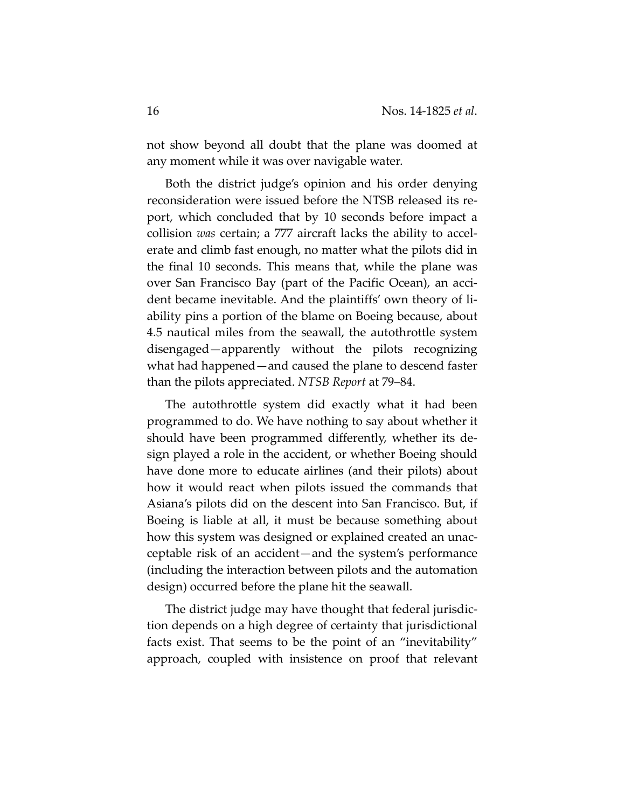not show beyond all doubt that the plane was doomed at any moment while it was over navigable water.

Both the district judge's opinion and his order denying reconsideration were issued before the NTSB released its report, which concluded that by 10 seconds before impact a collision *was* certain; a 777 aircraft lacks the ability to accelerate and climb fast enough, no matter what the pilots did in the final 10 seconds. This means that, while the plane was over San Francisco Bay (part of the Pacific Ocean), an accident became inevitable. And the plaintiffs' own theory of liability pins a portion of the blame on Boeing because, about 4.5 nautical miles from the seawall, the autothrottle system disengaged—apparently without the pilots recognizing what had happened—and caused the plane to descend faster than the pilots appreciated. *NTSB Report* at 79–84.

The autothrottle system did exactly what it had been programmed to do. We have nothing to say about whether it should have been programmed differently, whether its design played a role in the accident, or whether Boeing should have done more to educate airlines (and their pilots) about how it would react when pilots issued the commands that Asiana's pilots did on the descent into San Francisco. But, if Boeing is liable at all, it must be because something about how this system was designed or explained created an unacceptable risk of an accident—and the system's performance (including the interaction between pilots and the automation design) occurred before the plane hit the seawall.

The district judge may have thought that federal jurisdiction depends on a high degree of certainty that jurisdictional facts exist. That seems to be the point of an "inevitability" approach, coupled with insistence on proof that relevant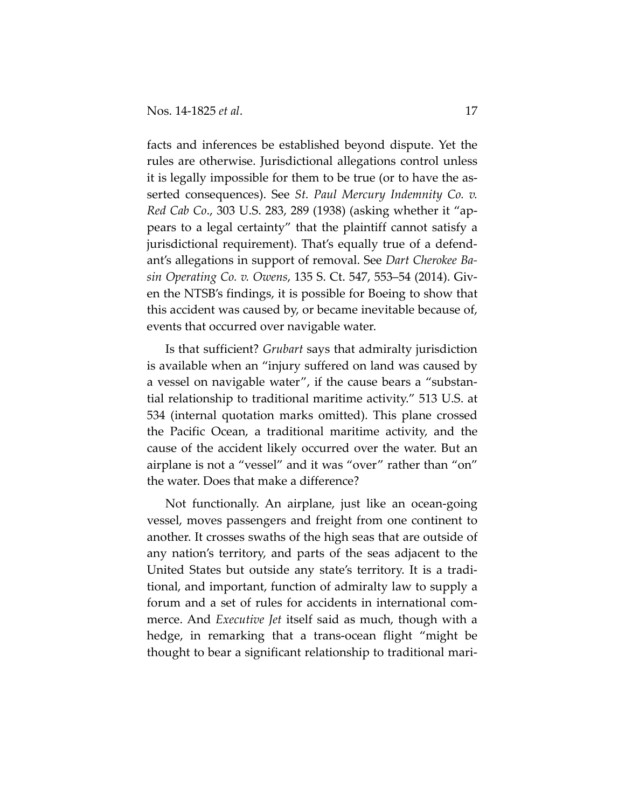facts and inferences be established beyond dispute. Yet the rules are otherwise. Jurisdictional allegations control unless it is legally impossible for them to be true (or to have the asserted consequences). See *St. Paul Mercury Indemnity Co. v. Red Cab Co*., 303 U.S. 283, 289 (1938) (asking whether it "appears to a legal certainty" that the plaintiff cannot satisfy a jurisdictional requirement). That's equally true of a defendant's allegations in support of removal. See *Dart Cherokee Basin Operating Co. v. Owens*, 135 S. Ct. 547, 553–54 (2014). Given the NTSB's findings, it is possible for Boeing to show that this accident was caused by, or became inevitable because of, events that occurred over navigable water.

Is that sufficient? *Grubart* says that admiralty jurisdiction is available when an "injury suffered on land was caused by a vessel on navigable water", if the cause bears a "substantial relationship to traditional maritime activity." 513 U.S. at 534 (internal quotation marks omitted). This plane crossed the Pacific Ocean, a traditional maritime activity, and the cause of the accident likely occurred over the water. But an airplane is not a "vessel" and it was "over" rather than "on" the water. Does that make a difference?

Not functionally. An airplane, just like an ocean-going vessel, moves passengers and freight from one continent to another. It crosses swaths of the high seas that are outside of any nation's territory, and parts of the seas adjacent to the United States but outside any state's territory. It is a traditional, and important, function of admiralty law to supply a forum and a set of rules for accidents in international commerce. And *Executive Jet* itself said as much, though with a hedge, in remarking that a trans-ocean flight "might be thought to bear a significant relationship to traditional mari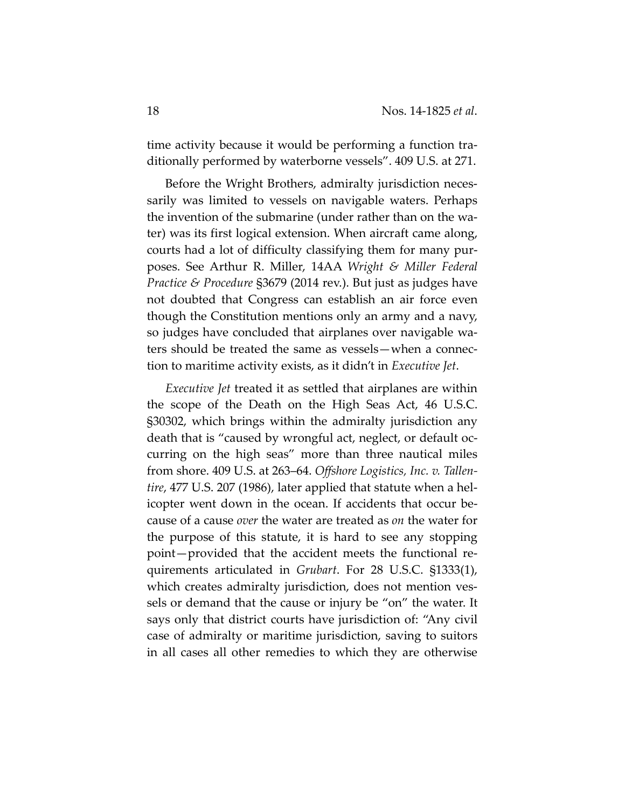time activity because it would be performing a function traditionally performed by waterborne vessels". 409 U.S. at 271.

Before the Wright Brothers, admiralty jurisdiction necessarily was limited to vessels on navigable waters. Perhaps the invention of the submarine (under rather than on the water) was its first logical extension. When aircraft came along, courts had a lot of difficulty classifying them for many purposes. See Arthur R. Miller, 14AA *Wright & Miller Federal Practice & Procedure* §3679 (2014 rev.). But just as judges have not doubted that Congress can establish an air force even though the Constitution mentions only an army and a navy, so judges have concluded that airplanes over navigable waters should be treated the same as vessels—when a connection to maritime activity exists, as it didn't in *Executive Jet*.

*Executive Jet* treated it as settled that airplanes are within the scope of the Death on the High Seas Act, 46 U.S.C. §30302, which brings within the admiralty jurisdiction any death that is "caused by wrongful act, neglect, or default occurring on the high seas" more than three nautical miles from shore. 409 U.S. at 263–64. *Offshore Logistics, Inc. v. Tallentire*, 477 U.S. 207 (1986), later applied that statute when a helicopter went down in the ocean. If accidents that occur because of a cause *over* the water are treated as *on* the water for the purpose of this statute, it is hard to see any stopping point—provided that the accident meets the functional requirements articulated in *Grubart*. For 28 U.S.C. §1333(1), which creates admiralty jurisdiction, does not mention vessels or demand that the cause or injury be "on" the water. It says only that district courts have jurisdiction of: "Any civil case of admiralty or maritime jurisdiction, saving to suitors in all cases all other remedies to which they are otherwise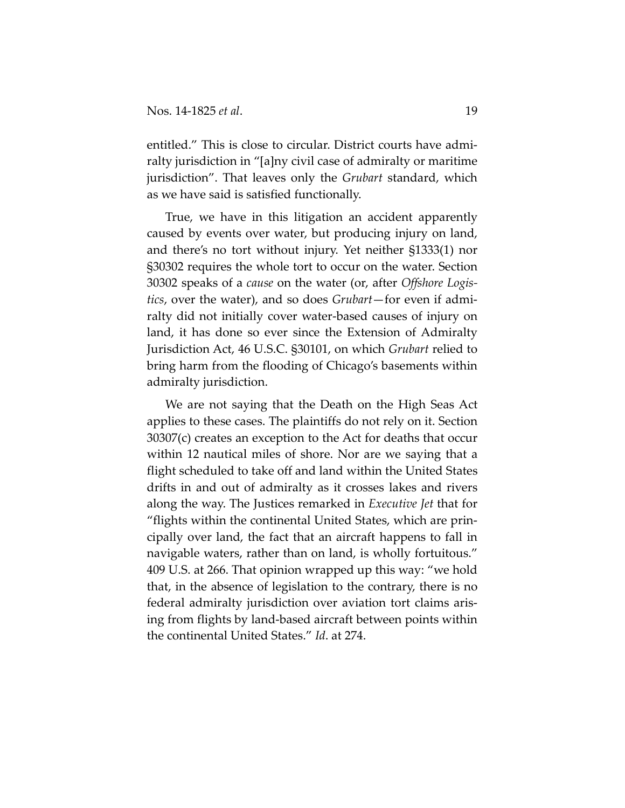entitled." This is close to circular. District courts have admiralty jurisdiction in "[a]ny civil case of admiralty or maritime jurisdiction". That leaves only the *Grubart* standard, which as we have said is satisfied functionally.

True, we have in this litigation an accident apparently caused by events over water, but producing injury on land, and there's no tort without injury. Yet neither §1333(1) nor §30302 requires the whole tort to occur on the water. Section 30302 speaks of a *cause* on the water (or, after *Offshore Logistics*, over the water), and so does *Grubart*—for even if admiralty did not initially cover water-based causes of injury on land, it has done so ever since the Extension of Admiralty Jurisdiction Act, 46 U.S.C. §30101, on which *Grubart* relied to bring harm from the flooding of Chicago's basements within admiralty jurisdiction.

We are not saying that the Death on the High Seas Act applies to these cases. The plaintiffs do not rely on it. Section 30307(c) creates an exception to the Act for deaths that occur within 12 nautical miles of shore. Nor are we saying that a flight scheduled to take off and land within the United States drifts in and out of admiralty as it crosses lakes and rivers along the way. The Justices remarked in *Executive Jet* that for "flights within the continental United States, which are principally over land, the fact that an aircraft happens to fall in navigable waters, rather than on land, is wholly fortuitous." 409 U.S. at 266. That opinion wrapped up this way: "we hold that, in the absence of legislation to the contrary, there is no federal admiralty jurisdiction over aviation tort claims arising from flights by land-based aircraft between points within the continental United States." *Id*. at 274.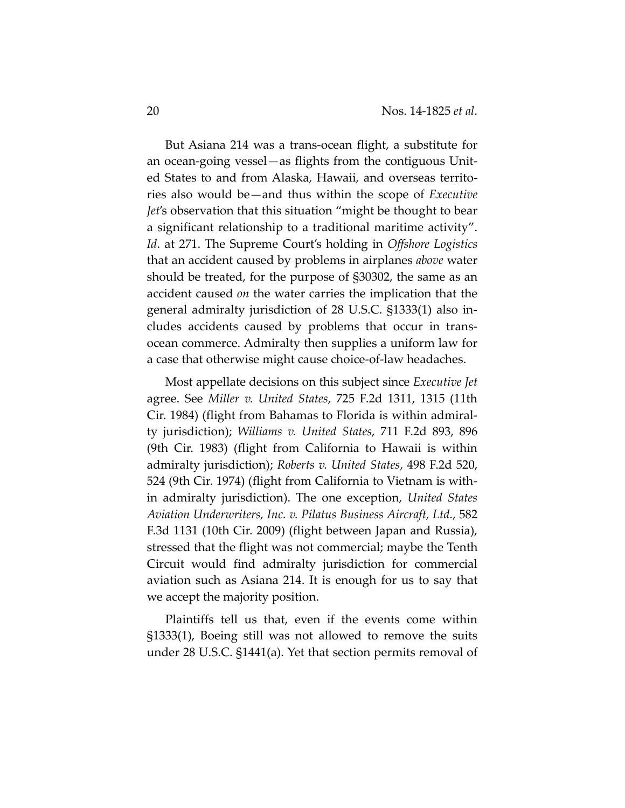But Asiana 214 was a trans-ocean flight, a substitute for an ocean-going vessel—as flights from the contiguous United States to and from Alaska, Hawaii, and overseas territories also would be—and thus within the scope of *Executive Jet*'s observation that this situation "might be thought to bear a significant relationship to a traditional maritime activity". *Id*. at 271. The Supreme Court's holding in *Offshore Logistics* that an accident caused by problems in airplanes *above* water should be treated, for the purpose of §30302, the same as an accident caused *on* the water carries the implication that the general admiralty jurisdiction of 28 U.S.C. §1333(1) also includes accidents caused by problems that occur in transocean commerce. Admiralty then supplies a uniform law for a case that otherwise might cause choice-of-law headaches.

Most appellate decisions on this subject since *Executive Jet* agree. See *Miller v. United States*, 725 F.2d 1311, 1315 (11th Cir. 1984) (flight from Bahamas to Florida is within admiralty jurisdiction); *Williams v. United States*, 711 F.2d 893, 896 (9th Cir. 1983) (flight from California to Hawaii is within admiralty jurisdiction); *Roberts v. United States*, 498 F.2d 520, 524 (9th Cir. 1974) (flight from California to Vietnam is within admiralty jurisdiction). The one exception, *United States Aviation Underwriters, Inc. v. Pilatus Business Aircraft, Ltd.*, 582 F.3d 1131 (10th Cir. 2009) (flight between Japan and Russia), stressed that the flight was not commercial; maybe the Tenth Circuit would find admiralty jurisdiction for commercial aviation such as Asiana 214. It is enough for us to say that we accept the majority position.

Plaintiffs tell us that, even if the events come within §1333(1), Boeing still was not allowed to remove the suits under 28 U.S.C. §1441(a). Yet that section permits removal of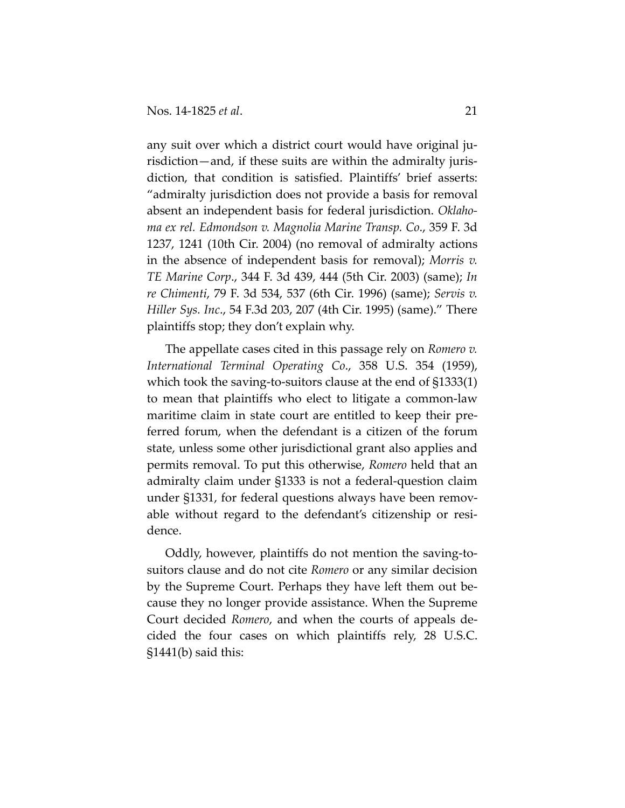any suit over which a district court would have original jurisdiction—and, if these suits are within the admiralty jurisdiction, that condition is satisfied. Plaintiffs' brief asserts: "admiralty jurisdiction does not provide a basis for removal absent an independent basis for federal jurisdiction. *Oklahoma ex rel. Edmondson v. Magnolia Marine Transp. Co*., 359 F. 3d 1237, 1241 (10th Cir. 2004) (no removal of admiralty actions in the absence of independent basis for removal); *Morris v. TE Marine Corp*., 344 F. 3d 439, 444 (5th Cir. 2003) (same); *In re Chimenti*, 79 F. 3d 534, 537 (6th Cir. 1996) (same); *Servis v. Hiller Sys. Inc*., 54 F.3d 203, 207 (4th Cir. 1995) (same)." There plaintiffs stop; they don't explain why.

The appellate cases cited in this passage rely on *Romero v. International Terminal Operating Co*., 358 U.S. 354 (1959), which took the saving-to-suitors clause at the end of §1333(1) to mean that plaintiffs who elect to litigate a common-law maritime claim in state court are entitled to keep their preferred forum, when the defendant is a citizen of the forum state, unless some other jurisdictional grant also applies and permits removal. To put this otherwise, *Romero* held that an admiralty claim under §1333 is not a federal-question claim under §1331, for federal questions always have been removable without regard to the defendant's citizenship or residence.

Oddly, however, plaintiffs do not mention the saving-tosuitors clause and do not cite *Romero* or any similar decision by the Supreme Court. Perhaps they have left them out because they no longer provide assistance. When the Supreme Court decided *Romero*, and when the courts of appeals decided the four cases on which plaintiffs rely, 28 U.S.C. §1441(b) said this: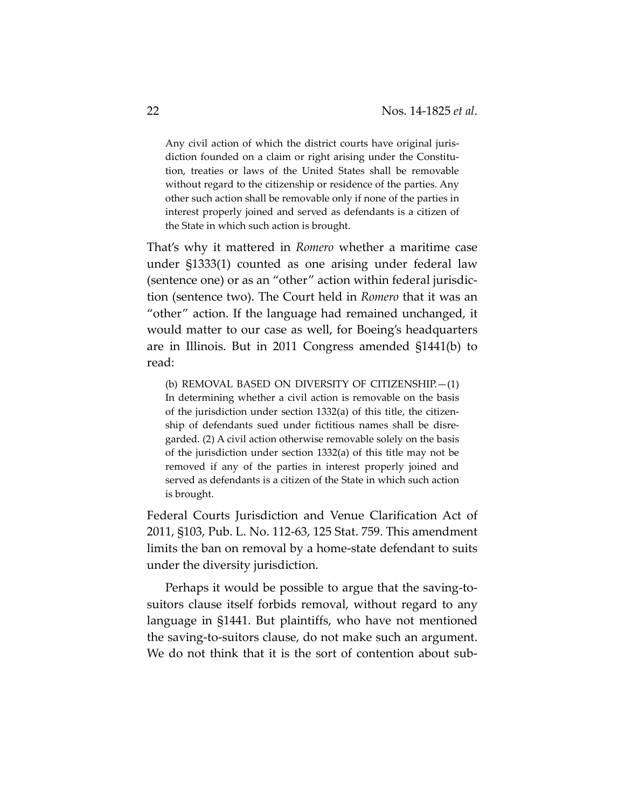Any civil action of which the district courts have original jurisdiction founded on a claim or right arising under the Constitution, treaties or laws of the United States shall be removable without regard to the citizenship or residence of the parties. Any other such action shall be removable only if none of the parties in interest properly joined and served as defendants is a citizen of the State in which such action is brought.

That's why it mattered in *Romero* whether a maritime case under §1333(1) counted as one arising under federal law (sentence one) or as an "other" action within federal jurisdiction (sentence two). The Court held in *Romero* that it was an "other" action. If the language had remained unchanged, it would matter to our case as well, for Boeing's headquarters are in Illinois. But in 2011 Congress amended §1441(b) to read:

(b) REMOVAL BASED ON DIVERSITY OF CITIZENSHIP.—(1) In determining whether a civil action is removable on the basis of the jurisdiction under section 1332(a) of this title, the citizenship of defendants sued under fictitious names shall be disregarded. (2) A civil action otherwise removable solely on the basis of the jurisdiction under section 1332(a) of this title may not be removed if any of the parties in interest properly joined and served as defendants is a citizen of the State in which such action is brought.

Federal Courts Jurisdiction and Venue Clarification Act of 2011, §103, Pub. L. No. 112-63, 125 Stat. 759. This amendment limits the ban on removal by a home-state defendant to suits under the diversity jurisdiction.

Perhaps it would be possible to argue that the saving-tosuitors clause itself forbids removal, without regard to any language in §1441. But plaintiffs, who have not mentioned the saving-to-suitors clause, do not make such an argument. We do not think that it is the sort of contention about sub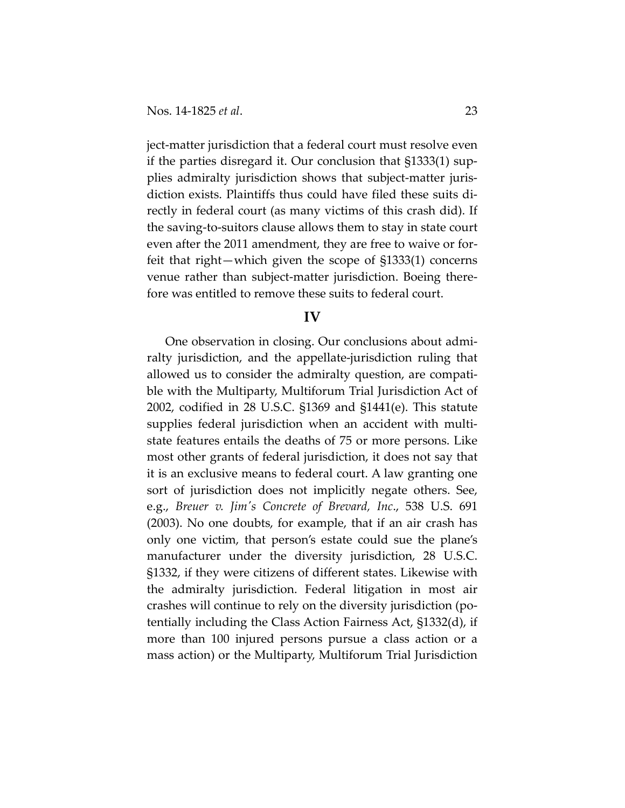ject-matter jurisdiction that a federal court must resolve even if the parties disregard it. Our conclusion that §1333(1) supplies admiralty jurisdiction shows that subject-matter jurisdiction exists. Plaintiffs thus could have filed these suits directly in federal court (as many victims of this crash did). If the saving-to-suitors clause allows them to stay in state court even after the 2011 amendment, they are free to waive or forfeit that right—which given the scope of §1333(1) concerns venue rather than subject-matter jurisdiction. Boeing therefore was entitled to remove these suits to federal court.

#### **IV**

One observation in closing. Our conclusions about admiralty jurisdiction, and the appellate-jurisdiction ruling that allowed us to consider the admiralty question, are compatible with the Multiparty, Multiforum Trial Jurisdiction Act of 2002, codified in 28 U.S.C. §1369 and §1441(e). This statute supplies federal jurisdiction when an accident with multistate features entails the deaths of 75 or more persons. Like most other grants of federal jurisdiction, it does not say that it is an exclusive means to federal court. A law granting one sort of jurisdiction does not implicitly negate others. See, e.g., *Breuer v. Jim's Concrete of Brevard, Inc*., 538 U.S. 691 (2003). No one doubts, for example, that if an air crash has only one victim, that person's estate could sue the plane's manufacturer under the diversity jurisdiction, 28 U.S.C. §1332, if they were citizens of different states. Likewise with the admiralty jurisdiction. Federal litigation in most air crashes will continue to rely on the diversity jurisdiction (potentially including the Class Action Fairness Act, §1332(d), if more than 100 injured persons pursue a class action or a mass action) or the Multiparty, Multiforum Trial Jurisdiction